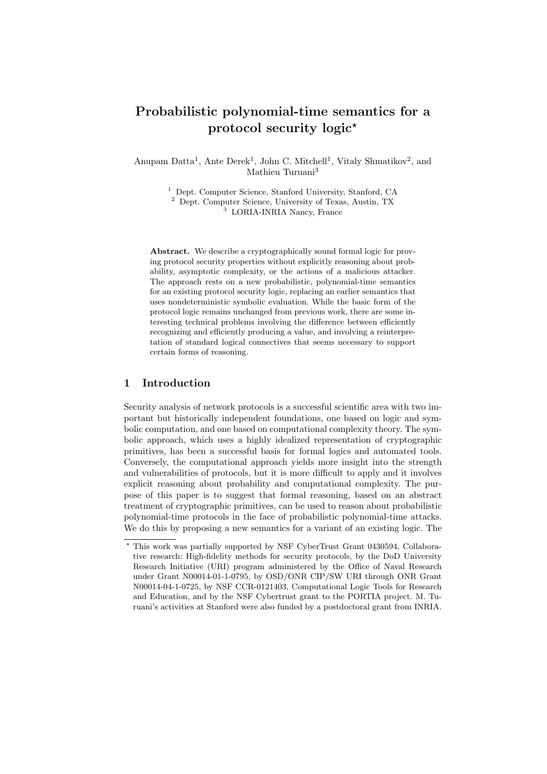# Probabilistic polynomial-time semantics for a protocol security logic<sup>\*</sup>

Anupam Datta<sup>1</sup>, Ante Derek<sup>1</sup>, John C. Mitchell<sup>1</sup>, Vitaly Shmatikov<sup>2</sup>, and Mathieu Turuani<sup>3</sup>

> <sup>1</sup> Dept. Computer Science, Stanford University, Stanford, CA <sup>2</sup> Dept. Computer Science, University of Texas, Austin, TX <sup>3</sup> LORIA-INRIA Nancy, France

Abstract. We describe a cryptographically sound formal logic for proving protocol security properties without explicitly reasoning about probability, asymptotic complexity, or the actions of a malicious attacker. The approach rests on a new probabilistic, polynomial-time semantics for an existing protocol security logic, replacing an earlier semantics that uses nondeterministic symbolic evaluation. While the basic form of the protocol logic remains unchanged from previous work, there are some interesting technical problems involving the difference between efficiently recognizing and efficiently producing a value, and involving a reinterpretation of standard logical connectives that seems necessary to support certain forms of reasoning.

# 1 Introduction

Security analysis of network protocols is a successful scientific area with two important but historically independent foundations, one based on logic and symbolic computation, and one based on computational complexity theory. The symbolic approach, which uses a highly idealized representation of cryptographic primitives, has been a successful basis for formal logics and automated tools. Conversely, the computational approach yields more insight into the strength and vulnerabilities of protocols, but it is more difficult to apply and it involves explicit reasoning about probability and computational complexity. The purpose of this paper is to suggest that formal reasoning, based on an abstract treatment of cryptographic primitives, can be used to reason about probabilistic polynomial-time protocols in the face of probabilistic polynomial-time attacks. We do this by proposing a new semantics for a variant of an existing logic. The

<sup>?</sup> This work was partially supported by NSF CyberTrust Grant 0430594, Collaborative research: High-fidelity methods for security protocols, by the DoD University Research Initiative (URI) program administered by the Office of Naval Research under Grant N00014-01-1-0795, by OSD/ONR CIP/SW URI through ONR Grant N00014-04-1-0725, by NSF CCR-0121403, Computational Logic Tools for Research and Education, and by the NSF Cybertrust grant to the PORTIA project. M. Turuani's activities at Stanford were also funded by a postdoctoral grant from INRIA.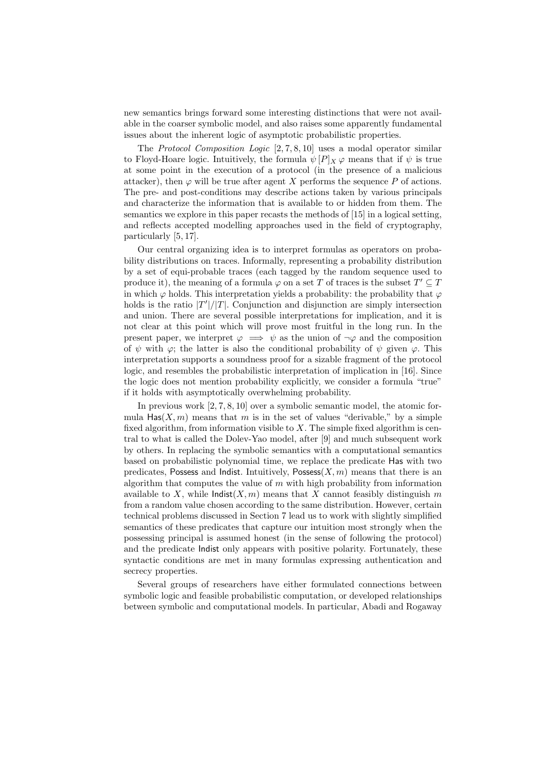new semantics brings forward some interesting distinctions that were not available in the coarser symbolic model, and also raises some apparently fundamental issues about the inherent logic of asymptotic probabilistic properties.

The Protocol Composition Logic [2, 7, 8, 10] uses a modal operator similar to Floyd-Hoare logic. Intuitively, the formula  $\psi[P]_X \varphi$  means that if  $\psi$  is true at some point in the execution of a protocol (in the presence of a malicious attacker), then  $\varphi$  will be true after agent X performs the sequence P of actions. The pre- and post-conditions may describe actions taken by various principals and characterize the information that is available to or hidden from them. The semantics we explore in this paper recasts the methods of [15] in a logical setting, and reflects accepted modelling approaches used in the field of cryptography, particularly [5, 17].

Our central organizing idea is to interpret formulas as operators on probability distributions on traces. Informally, representing a probability distribution by a set of equi-probable traces (each tagged by the random sequence used to produce it), the meaning of a formula  $\varphi$  on a set T of traces is the subset  $T' \subseteq T$ in which  $\varphi$  holds. This interpretation yields a probability: the probability that  $\varphi$ holds is the ratio  $|T'|/|T|$ . Conjunction and disjunction are simply intersection and union. There are several possible interpretations for implication, and it is not clear at this point which will prove most fruitful in the long run. In the present paper, we interpret  $\varphi \implies \psi$  as the union of  $\neg \varphi$  and the composition of  $\psi$  with  $\varphi$ ; the latter is also the conditional probability of  $\psi$  given  $\varphi$ . This interpretation supports a soundness proof for a sizable fragment of the protocol logic, and resembles the probabilistic interpretation of implication in [16]. Since the logic does not mention probability explicitly, we consider a formula "true" if it holds with asymptotically overwhelming probability.

In previous work  $[2, 7, 8, 10]$  over a symbolic semantic model, the atomic formula  $\textsf{Has}(X, m)$  means that m is in the set of values "derivable," by a simple fixed algorithm, from information visible to  $X$ . The simple fixed algorithm is central to what is called the Dolev-Yao model, after [9] and much subsequent work by others. In replacing the symbolic semantics with a computational semantics based on probabilistic polynomial time, we replace the predicate Has with two predicates. Possess and Indist. Intuitively, Possess $(X, m)$  means that there is an algorithm that computes the value of  $m$  with high probability from information available to X, while  $\textsf{Indist}(X, m)$  means that X cannot feasibly distinguish m from a random value chosen according to the same distribution. However, certain technical problems discussed in Section 7 lead us to work with slightly simplified semantics of these predicates that capture our intuition most strongly when the possessing principal is assumed honest (in the sense of following the protocol) and the predicate Indist only appears with positive polarity. Fortunately, these syntactic conditions are met in many formulas expressing authentication and secrecy properties.

Several groups of researchers have either formulated connections between symbolic logic and feasible probabilistic computation, or developed relationships between symbolic and computational models. In particular, Abadi and Rogaway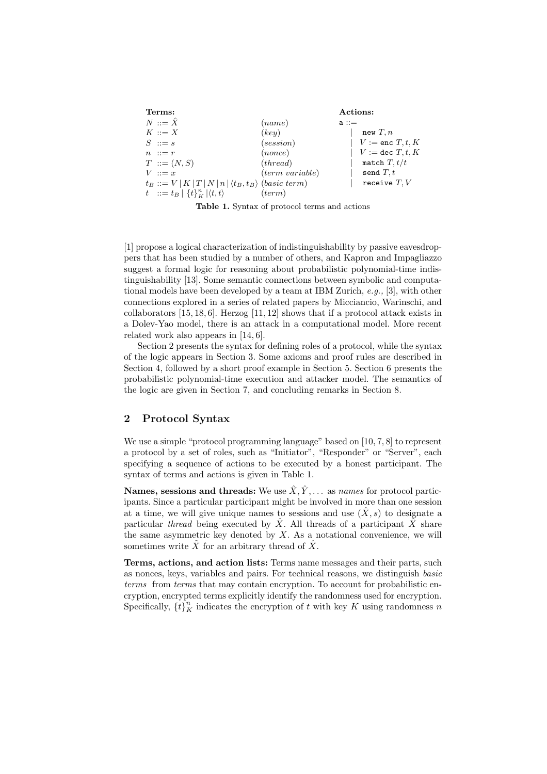| Terms:                                                              |                        | Actions:             |
|---------------------------------------------------------------------|------------------------|----------------------|
| $N ::= \hat{X}$                                                     | (name)                 | $a ::=$              |
| $K ::= X$                                                           | (key)                  | new $T, n$           |
| $S \nightharpoonup s$                                               | (session)              | $V :=$ enc $T, t, K$ |
| $n := r$                                                            | (nonce)                | $V:=$ dec $T,t,K$    |
| $T ::= (N, S)$                                                      | (thread)               | match $T, t/t$       |
| $V ::= x$                                                           | <i>(term variable)</i> | send $T, t$          |
| $t_B ::= V   K   T   N   n   \langle t_B, t_B \rangle$ (basic term) |                        | receive $T, V$       |
| $t := t_B   \{t\}_{K}^{n}   \langle t, t \rangle$                   | (term)                 |                      |

Table 1. Syntax of protocol terms and actions

[1] propose a logical characterization of indistinguishability by passive eavesdroppers that has been studied by a number of others, and Kapron and Impagliazzo suggest a formal logic for reasoning about probabilistic polynomial-time indistinguishability [13]. Some semantic connections between symbolic and computational models have been developed by a team at IBM Zurich, e.g., [3], with other connections explored in a series of related papers by Micciancio, Warinschi, and collaborators [15, 18, 6]. Herzog [11, 12] shows that if a protocol attack exists in a Dolev-Yao model, there is an attack in a computational model. More recent related work also appears in [14, 6].

Section 2 presents the syntax for defining roles of a protocol, while the syntax of the logic appears in Section 3. Some axioms and proof rules are described in Section 4, followed by a short proof example in Section 5. Section 6 presents the probabilistic polynomial-time execution and attacker model. The semantics of the logic are given in Section 7, and concluding remarks in Section 8.

#### 2 Protocol Syntax

We use a simple "protocol programming language" based on [10, 7, 8] to represent a protocol by a set of roles, such as "Initiator", "Responder" or "Server", each specifying a sequence of actions to be executed by a honest participant. The syntax of terms and actions is given in Table 1.

**Names, sessions and threads:** We use  $\hat{X}, \hat{Y}, \dots$  as *names* for protocol participants. Since a particular participant might be involved in more than one session at a time, we will give unique names to sessions and use  $(X, s)$  to designate a particular thread being executed by  $\hat{X}$ . All threads of a participant  $\hat{X}$  share the same asymmetric key denoted by  $X$ . As a notational convenience, we will sometimes write X for an arbitrary thread of  $\hat{X}$ .

Terms, actions, and action lists: Terms name messages and their parts, such as nonces, keys, variables and pairs. For technical reasons, we distinguish basic terms from terms that may contain encryption. To account for probabilistic encryption, encrypted terms explicitly identify the randomness used for encryption. Specifically,  ${t \brace t}^n_K$  indicates the encryption of t with key K using randomness n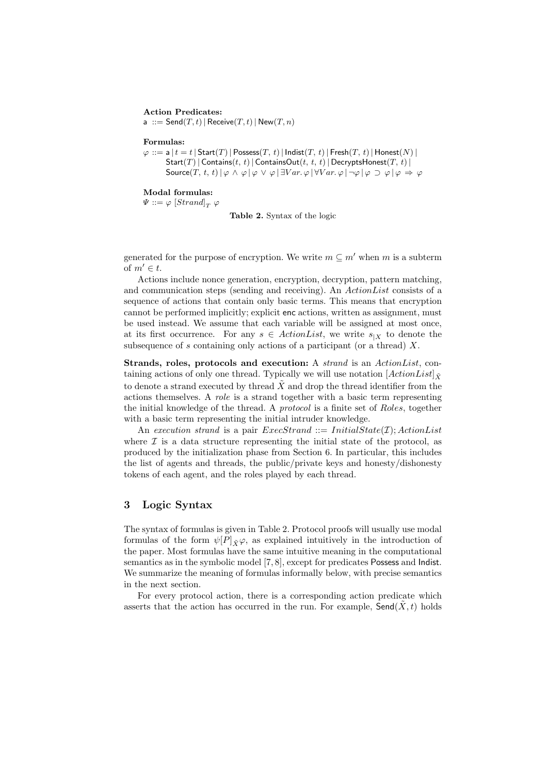Action Predicates:  $a ::=$  Send $(T, t)$  | Receive $(T, t)$  | New $(T, n)$ 

Formulas:

```
\varphi ::= a | t = t | \text{Start}(T) | \text{Posses}(T, t) | \text{Indist}(T, t) | \text{Fresh}(T, t) | \text{Honest}(N) |Start(T) | Contains(t, t) | ContainsOut(t, t, t) | DecryptsHonest(T, t) |
Source(T, t, t) \mid \varphi \wedge \varphi \mid \varphi \vee \varphi \mid \exists Var.\varphi \mid \forall Var.\varphi \mid \neg \varphi \mid \varphi \supset \varphi \mid \varphi \Rightarrow \varphi
```
Modal formulas:

 $\Psi ::= \varphi \left[Strand \right]_T \varphi$ 

Table 2. Syntax of the logic

generated for the purpose of encryption. We write  $m \n\subseteq m'$  when m is a subterm of  $m' \in t$ .

Actions include nonce generation, encryption, decryption, pattern matching, and communication steps (sending and receiving). An ActionList consists of a sequence of actions that contain only basic terms. This means that encryption cannot be performed implicitly; explicit enc actions, written as assignment, must be used instead. We assume that each variable will be assigned at most once, at its first occurrence. For any  $s \in ActionList$ , we write  $s_{|X}$  to denote the subsequence of s containing only actions of a participant (or a thread)  $X$ .

Strands, roles, protocols and execution: A strand is an ActionList, containing actions of only one thread. Typically we will use notation  $[ActionList]_{\tilde{X}}$ to denote a strand executed by thread  $\tilde{X}$  and drop the thread identifier from the actions themselves. A role is a strand together with a basic term representing the initial knowledge of the thread. A protocol is a finite set of Roles, together with a basic term representing the initial intruder knowledge.

An execution strand is a pair  $ExecStrand ::= InitialState(\mathcal{I})$ ;  $ActionList$ where  $\mathcal I$  is a data structure representing the initial state of the protocol, as produced by the initialization phase from Section 6. In particular, this includes the list of agents and threads, the public/private keys and honesty/dishonesty tokens of each agent, and the roles played by each thread.

# 3 Logic Syntax

The syntax of formulas is given in Table 2. Protocol proofs will usually use modal formulas of the form  $\psi[P]_{\tilde{X}}\varphi$ , as explained intuitively in the introduction of the paper. Most formulas have the same intuitive meaning in the computational semantics as in the symbolic model [7, 8], except for predicates Possess and Indist. We summarize the meaning of formulas informally below, with precise semantics in the next section.

For every protocol action, there is a corresponding action predicate which asserts that the action has occurred in the run. For example,  $\mathsf{Send}(X, t)$  holds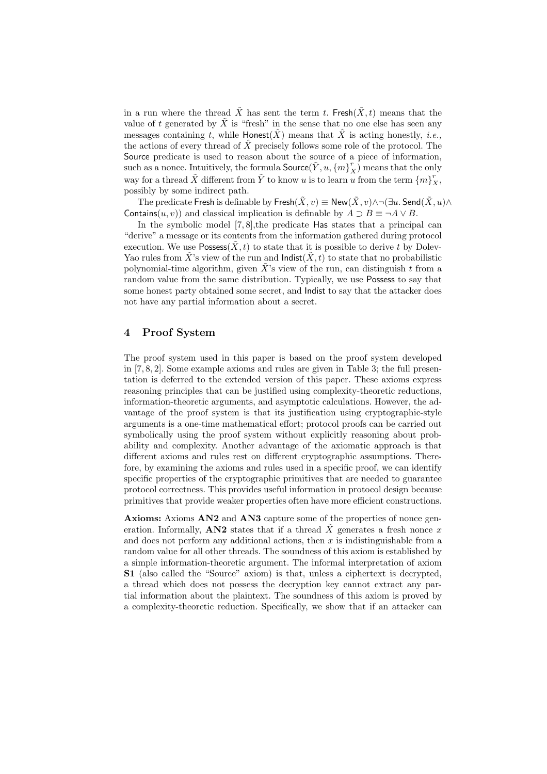in a run where the thread  $\tilde{X}$  has sent the term t. Fresh $(\tilde{X}, t)$  means that the value of t generated by X is "fresh" in the sense that no one else has seen any messages containing t, while Honest $(\hat{X})$  means that  $\hat{X}$  is acting honestly, *i.e.*, the actions of every thread of  $\hat{X}$  precisely follows some role of the protocol. The Source predicate is used to reason about the source of a piece of information, such as a nonce. Intuitively, the formula  $\mathsf{Source}(\tilde{Y}, u, \{m\}_{X}^{r})$  means that the only way for a thread  $\tilde{X}$  different from  $\tilde{Y}$  to know u is to learn u from the term  $\{m\}_{X}^{r}$ , possibly by some indirect path.

The predicate Fresh is definable by Fresh $(\tilde{X}, v) \equiv$  New $(\tilde{X}, v) \wedge \neg (\exists u.$  Send $(\tilde{X}, u) \wedge \neg$ Contains $(u, v)$  and classical implication is definable by  $A \supset B \equiv \neg A \vee B$ .

In the symbolic model [7,8], the predicate **Has** states that a principal can "derive" a message or its contents from the information gathered during protocol execution. We use Possess $(\tilde{X}, t)$  to state that it is possible to derive t by Dolev-Yao rules from  $\tilde{X}$ 's view of the run and Indist $(\tilde{X}, t)$  to state that no probabilistic polynomial-time algorithm, given  $\tilde{X}$ 's view of the run, can distinguish t from a random value from the same distribution. Typically, we use Possess to say that some honest party obtained some secret, and Indist to say that the attacker does not have any partial information about a secret.

# 4 Proof System

The proof system used in this paper is based on the proof system developed in [7, 8, 2]. Some example axioms and rules are given in Table 3; the full presentation is deferred to the extended version of this paper. These axioms express reasoning principles that can be justified using complexity-theoretic reductions, information-theoretic arguments, and asymptotic calculations. However, the advantage of the proof system is that its justification using cryptographic-style arguments is a one-time mathematical effort; protocol proofs can be carried out symbolically using the proof system without explicitly reasoning about probability and complexity. Another advantage of the axiomatic approach is that different axioms and rules rest on different cryptographic assumptions. Therefore, by examining the axioms and rules used in a specific proof, we can identify specific properties of the cryptographic primitives that are needed to guarantee protocol correctness. This provides useful information in protocol design because primitives that provide weaker properties often have more efficient constructions.

Axioms: Axioms AN2 and AN3 capture some of the properties of nonce generation. Informally, **AN2** states that if a thread  $\tilde{X}$  generates a fresh nonce x and does not perform any additional actions, then  $x$  is indistinguishable from a random value for all other threads. The soundness of this axiom is established by a simple information-theoretic argument. The informal interpretation of axiom S1 (also called the "Source" axiom) is that, unless a ciphertext is decrypted, a thread which does not possess the decryption key cannot extract any partial information about the plaintext. The soundness of this axiom is proved by a complexity-theoretic reduction. Specifically, we show that if an attacker can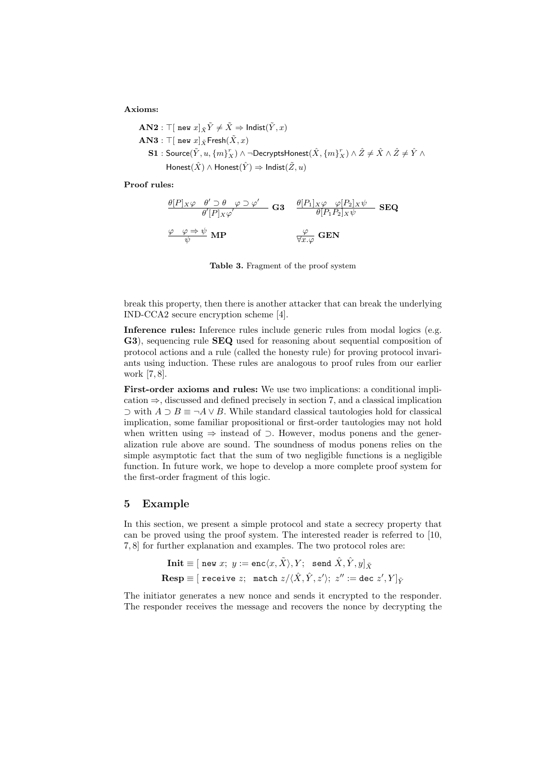Axioms:

$$
\begin{aligned} \mathbf{AN2}: \top[ \text{ new } x]_{\tilde{X}} \tilde{Y} &\neq \tilde{X} \Rightarrow \text{Indist}(\tilde{Y}, x) \\ \mathbf{AN3}: \top[ \text{ new } x]_{\tilde{X}} \mathsf{Fresh}(\tilde{X}, x) \\ \mathbf{S1}: \mathsf{Source}(\tilde{Y}, u, \{m\}_{X}^{r}) \land \neg \mathsf{DecryptsHonest}(\hat{X}, \{m\}_{X}^{r}) \land \hat{Z} &\neq \hat{X} \land \hat{Z} \neq \hat{Y} \land \\ &\mathsf{Honest}(\hat{X}) \land \mathsf{Honest}(\hat{Y}) \Rightarrow \mathsf{Indist}(\tilde{Z}, u) \end{aligned}
$$

Proof rules:

$$
\frac{\theta[P]_X \varphi \quad \theta' \supset \theta \quad \varphi \supset \varphi'}{\theta'[P]_X \varphi'} \quad \mathbf{G3} \quad \frac{\theta[P_1]_X \varphi \quad \varphi[P_2]_X \psi}{\theta[P_1 P_2]_X \psi} \quad \mathbf{SEQ}
$$
\n
$$
\frac{\varphi \quad \varphi \Rightarrow \psi}{\psi} \mathbf{MP} \qquad \qquad \frac{\varphi}{\forall x. \varphi} \mathbf{GEN}
$$

Table 3. Fragment of the proof system

break this property, then there is another attacker that can break the underlying IND-CCA2 secure encryption scheme [4].

Inference rules: Inference rules include generic rules from modal logics (e.g. G3), sequencing rule SEQ used for reasoning about sequential composition of protocol actions and a rule (called the honesty rule) for proving protocol invariants using induction. These rules are analogous to proof rules from our earlier work [7, 8].

First-order axioms and rules: We use two implications: a conditional implication ⇒, discussed and defined precisely in section 7, and a classical implication ⊃ with  $A \supset B \equiv \neg A \vee B$ . While standard classical tautologies hold for classical implication, some familiar propositional or first-order tautologies may not hold when written using  $\Rightarrow$  instead of  $\supset$ . However, modus ponens and the generalization rule above are sound. The soundness of modus ponens relies on the simple asymptotic fact that the sum of two negligible functions is a negligible function. In future work, we hope to develop a more complete proof system for the first-order fragment of this logic.

#### 5 Example

In this section, we present a simple protocol and state a secrecy property that can be proved using the proof system. The interested reader is referred to [10, 7, 8] for further explanation and examples. The two protocol roles are:

> **Init**  $\equiv$  [ new x; y := enc $\langle x, \tilde{X} \rangle$ , Y; send  $\hat{X}, \hat{Y}, y$  ]<sub> $\tilde{X}$ </sub>  $\mathbf{Resp} \equiv [ \text{ receive } z; \text{ match } z/ \langle \hat{X}, \hat{Y}, z' \rangle; \text{ } z'' := \texttt{dec } z', Y]_{\tilde{Y}}$

The initiator generates a new nonce and sends it encrypted to the responder. The responder receives the message and recovers the nonce by decrypting the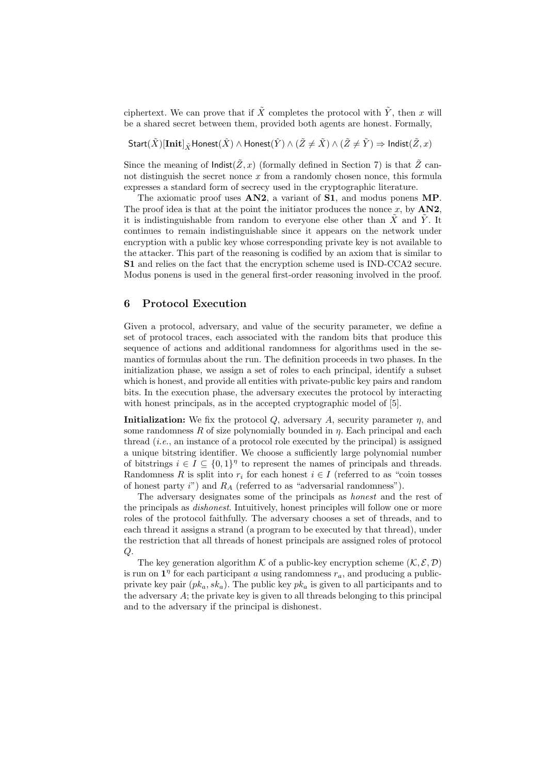ciphertext. We can prove that if  $\tilde{X}$  completes the protocol with  $\tilde{Y}$ , then x will be a shared secret between them, provided both agents are honest. Formally,

Start $(\tilde{X})$ [Init]  $\tilde{Y}$  Honest $(\hat{X})$  ∧ Honest $(\hat{Y})$  ∧  $(\tilde{Z} \neq \tilde{X})$  ∧  $(\tilde{Z} \neq \tilde{Y})$   $\Rightarrow$  Indist $(\tilde{Z}, x)$ 

Since the meaning of  $\textsf{Indist}(\tilde{Z}, x)$  (formally defined in Section 7) is that  $\tilde{Z}$  cannot distinguish the secret nonce  $x$  from a randomly chosen nonce, this formula expresses a standard form of secrecy used in the cryptographic literature.

The axiomatic proof uses **AN2**, a variant of **S1**, and modus ponens **MP**. The proof idea is that at the point the initiator produces the nonce  $x$ , by  $AN2$ , it is indistinguishable from random to everyone else other than  $\tilde{X}$  and  $\tilde{Y}$ . It continues to remain indistinguishable since it appears on the network under encryption with a public key whose corresponding private key is not available to the attacker. This part of the reasoning is codified by an axiom that is similar to S1 and relies on the fact that the encryption scheme used is IND-CCA2 secure. Modus ponens is used in the general first-order reasoning involved in the proof.

#### 6 Protocol Execution

Given a protocol, adversary, and value of the security parameter, we define a set of protocol traces, each associated with the random bits that produce this sequence of actions and additional randomness for algorithms used in the semantics of formulas about the run. The definition proceeds in two phases. In the initialization phase, we assign a set of roles to each principal, identify a subset which is honest, and provide all entities with private-public key pairs and random bits. In the execution phase, the adversary executes the protocol by interacting with honest principals, as in the accepted cryptographic model of  $[5]$ .

**Initialization:** We fix the protocol  $Q$ , adversary  $A$ , security parameter  $\eta$ , and some randomness R of size polynomially bounded in  $n$ . Each principal and each thread  $(i.e.,$  an instance of a protocol role executed by the principal) is assigned a unique bitstring identifier. We choose a sufficiently large polynomial number of bitstrings  $i \in I \subseteq \{0,1\}^{\eta}$  to represent the names of principals and threads. Randomness R is split into  $r_i$  for each honest  $i \in I$  (referred to as "coin tosses") of honest party  $i$ ") and  $R_A$  (referred to as "adversarial randomness").

The adversary designates some of the principals as honest and the rest of the principals as dishonest. Intuitively, honest principles will follow one or more roles of the protocol faithfully. The adversary chooses a set of threads, and to each thread it assigns a strand (a program to be executed by that thread), under the restriction that all threads of honest principals are assigned roles of protocol  $Q$ .

The key generation algorithm K of a public-key encryption scheme  $(\mathcal{K}, \mathcal{E}, \mathcal{D})$ is run on  $\mathbf{1}^{\eta}$  for each participant a using randomness  $r_a$ , and producing a publicprivate key pair  $(pk_a, sk_a)$ . The public key  $pk_a$  is given to all participants and to the adversary A; the private key is given to all threads belonging to this principal and to the adversary if the principal is dishonest.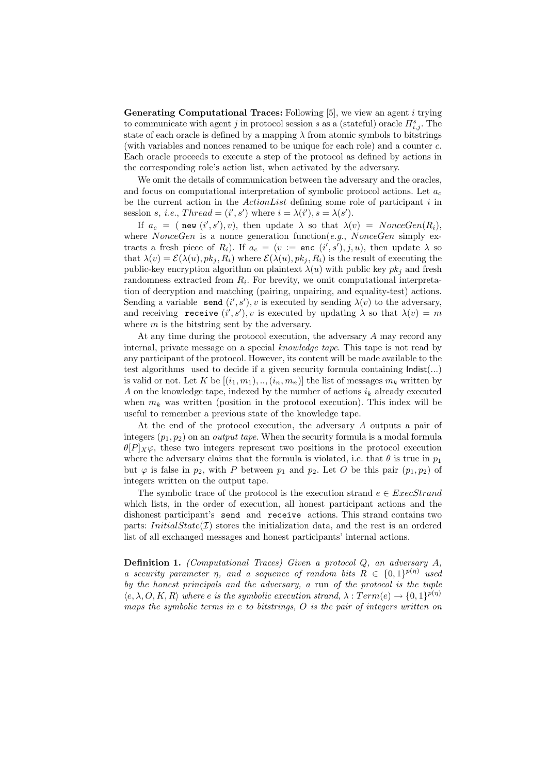**Generating Computational Traces:** Following  $[5]$ , we view an agent i trying to communicate with agent j in protocol session s as a (stateful) oracle  $\Pi_{i,j}^s$ . The state of each oracle is defined by a mapping  $\lambda$  from atomic symbols to bitstrings (with variables and nonces renamed to be unique for each role) and a counter c. Each oracle proceeds to execute a step of the protocol as defined by actions in the corresponding role's action list, when activated by the adversary.

We omit the details of communication between the adversary and the oracles, and focus on computational interpretation of symbolic protocol actions. Let  $a_c$ be the current action in the  $ActionList$  defining some role of participant  $i$  in session s, i.e.,  $Thread = (i', s')$  where  $i = \lambda(i'), s = \lambda(s')$ .

If  $a_c = ($ **new**  $(i', s'), v)$ , then update  $\lambda$  so that  $\lambda(v) = NoneGen(R_i)$ , where NonceGen is a nonce generation function(e.g., NonceGen simply extracts a fresh piece of  $R_i$ ). If  $a_c = (v := \text{enc } (i', s'), j, u)$ , then update  $\lambda$  so that  $\lambda(v) = \mathcal{E}(\lambda(u), pk_j, R_i)$  where  $\mathcal{E}(\lambda(u), pk_j, R_i)$  is the result of executing the public-key encryption algorithm on plaintext  $\lambda(u)$  with public key  $pk_j$  and fresh randomness extracted from  $R_i$ . For brevity, we omit computational interpretation of decryption and matching (pairing, unpairing, and equality-test) actions. Sending a variable send  $(i', s')$ , v is executed by sending  $\lambda(v)$  to the adversary, and receiving receive  $(i', s')$ , v is executed by updating  $\lambda$  so that  $\lambda(v) = m$ where  $m$  is the bitstring sent by the adversary.

At any time during the protocol execution, the adversary A may record any internal, private message on a special knowledge tape. This tape is not read by any participant of the protocol. However, its content will be made available to the test algorithms used to decide if a given security formula containing Indist(...) is valid or not. Let K be  $[(i_1, m_1), ..., (i_n, m_n)]$  the list of messages  $m_k$  written by A on the knowledge tape, indexed by the number of actions  $i_k$  already executed when  $m_k$  was written (position in the protocol execution). This index will be useful to remember a previous state of the knowledge tape.

At the end of the protocol execution, the adversary A outputs a pair of integers  $(p_1, p_2)$  on an *output tape*. When the security formula is a modal formula  $\theta[P]_X\varphi$ , these two integers represent two positions in the protocol execution where the adversary claims that the formula is violated, i.e. that  $\theta$  is true in  $p_1$ but  $\varphi$  is false in  $p_2$ , with P between  $p_1$  and  $p_2$ . Let O be this pair  $(p_1, p_2)$  of integers written on the output tape.

The symbolic trace of the protocol is the execution strand  $e \in E \in \mathbb{Z}$ which lists, in the order of execution, all honest participant actions and the dishonest participant's send and receive actions. This strand contains two parts: Initial State(T) stores the initialization data, and the rest is an ordered list of all exchanged messages and honest participants' internal actions.

Definition 1. (Computational Traces) Given a protocol Q, an adversary A, a security parameter  $\eta$ , and a sequence of random bits  $R \in \{0,1\}^{p(\eta)}$  used by the honest principals and the adversary, a run of the protocol is the tuple  $\langle e, \lambda, O, K, R \rangle$  where e is the symbolic execution strand,  $\lambda : Term(e) \rightarrow \{0, 1\}^{p(\eta)}$ maps the symbolic terms in e to bitstrings, O is the pair of integers written on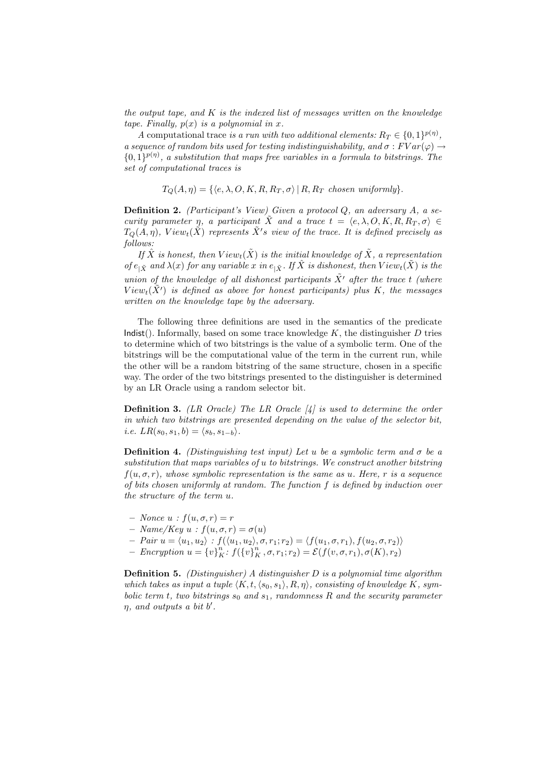the output tape, and  $K$  is the indexed list of messages written on the knowledge tape. Finally,  $p(x)$  is a polynomial in x.

A computational trace is a run with two additional elements:  $R_T \in \{0, 1\}^{p(\eta)}$ , a sequence of random bits used for testing indistinguishability, and  $\sigma : FVar(\varphi) \rightarrow$  $\{0,1\}^{p(\eta)}$ , a substitution that maps free variables in a formula to bitstrings. The set of computational traces is

 $T_Q(A, \eta) = \{ \langle e, \lambda, O, K, R, R_T, \sigma \rangle | R, R_T \text{ chosen uniformly} \}.$ 

**Definition 2.** (Participant's View) Given a protocol  $Q$ , an adversary  $A$ , a security parameter *η, a participant*  $\tilde{X}$  and a trace  $t = \langle e, \lambda, O, K, R, R_T, \sigma \rangle \in$  $T_Q(A,\eta), \, View_t(\tilde{X})$  represents  $\tilde{X}'s$  view of the trace. It is defined precisely as follows:

If  $\hat{X}$  is honest, then  $View_t(\tilde{X})$  is the initial knowledge of  $\tilde{X}$ , a representation of  $e_{|\tilde{X}}$  and  $\lambda(x)$  for any variable x in  $e_{|\tilde{X}}$ . If  $\hat{X}$  is dishonest, then  $View_t(\tilde{X})$  is the union of the knowledge of all dishonest participants  $\tilde{X}$ <sup>t</sup> after the trace t (where  $View_t(X')$  is defined as above for honest participants) plus K, the messages written on the knowledge tape by the adversary.

The following three definitions are used in the semantics of the predicate  $Indist()$ . Informally, based on some trace knowledge K, the distinguisher D tries to determine which of two bitstrings is the value of a symbolic term. One of the bitstrings will be the computational value of the term in the current run, while the other will be a random bitstring of the same structure, chosen in a specific way. The order of the two bitstrings presented to the distinguisher is determined by an LR Oracle using a random selector bit.

**Definition 3.** (LR Oracle) The LR Oracle  $\begin{bmatrix} 4 \end{bmatrix}$  is used to determine the order in which two bitstrings are presented depending on the value of the selector bit, i.e.  $LR(s_0, s_1, b) = \langle s_b, s_{1-b} \rangle.$ 

**Definition 4.** (Distinguishing test input) Let u be a symbolic term and  $\sigma$  be a substitution that maps variables of u to bitstrings. We construct another bitstring  $f(u, \sigma, r)$ , whose symbolic representation is the same as u. Here, r is a sequence of bits chosen uniformly at random. The function f is defined by induction over the structure of the term u.

- $-$  Nonce  $u : f(u, \sigma, r) = r$
- $Name/Key \ u : f(u, \sigma, r) = \sigma(u)$
- $-$  Pair  $u = \langle u_1, u_2 \rangle : f(\langle u_1, u_2 \rangle, \sigma, r_1; r_2) = \langle f(u_1, \sigma, r_1), f(u_2, \sigma, r_2) \rangle$
- Encryption  $u = \{v\}_{K}^{n} : f(\{v\}_{K}^{n}, \sigma, r_{1}; r_{2}) = \mathcal{E}(f(v, \sigma, r_{1}), \sigma(K), r_{2})$

**Definition 5.** (Distinguisher) A distinguisher D is a polynomial time algorithm which takes as input a tuple  $\langle K, t, \langle s_0, s_1 \rangle, R, \eta \rangle$ , consisting of knowledge K, symbolic term t, two bitstrings  $s_0$  and  $s_1$ , randomness R and the security parameter  $\eta$ , and outputs a bit b'.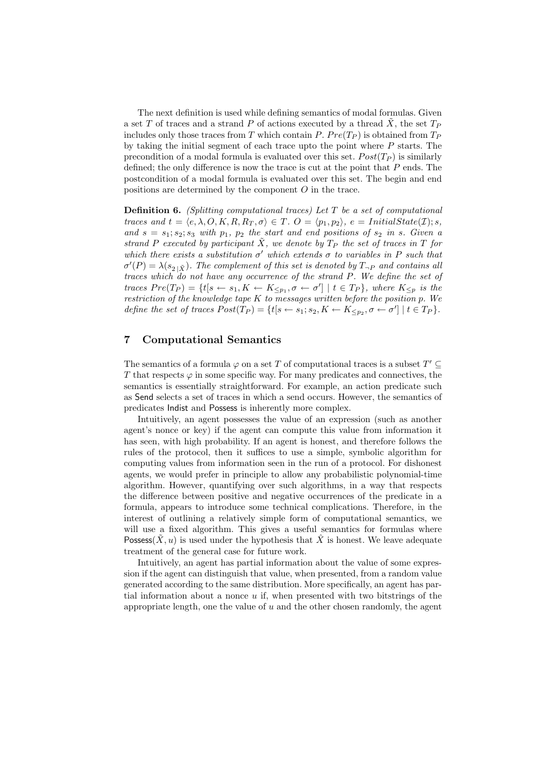The next definition is used while defining semantics of modal formulas. Given a set T of traces and a strand P of actions executed by a thread X, the set  $T_P$ includes only those traces from T which contain  $P$ .  $Pre(T_P)$  is obtained from  $T_P$ by taking the initial segment of each trace upto the point where  $P$  starts. The precondition of a modal formula is evaluated over this set.  $Post(T_P)$  is similarly defined; the only difference is now the trace is cut at the point that  $P$  ends. The postcondition of a modal formula is evaluated over this set. The begin and end positions are determined by the component  $O$  in the trace.

**Definition 6.** (Splitting computational traces) Let  $T$  be a set of computational traces and  $t = \langle e, \lambda, O, K, R, R_T, \sigma \rangle \in T$ .  $O = \langle p_1, p_2 \rangle$ ,  $e = InitialState(\mathcal{I}); s$ , and  $s = s_1; s_2; s_3$  with  $p_1, p_2$  the start and end positions of  $s_2$  in s. Given a strand P executed by participant  $\tilde{X}$ , we denote by  $T_P$  the set of traces in T for which there exists a substitution  $\sigma'$  which extends  $\sigma$  to variables in P such that  $\sigma'(P) = \lambda(s_{2|\tilde{X}})$ . The complement of this set is denoted by  $T_{\neg P}$  and contains all traces which do not have any occurrence of the strand P. We define the set of traces  $Pre(T_P) = \{t[s \leftarrow s_1, K \leftarrow K_{\leq p_1}, \sigma \leftarrow \sigma'] \mid t \in T_P\}$ , where  $K_{\leq p}$  is the restriction of the knowledge tape K to messages written before the position p. We define the set of traces  $Post(T_P) = \{t[s \leftarrow s_1; s_2, K \leftarrow K_{\leq p_2}, \sigma \leftarrow \sigma'] \mid t \in T_P\}.$ 

# 7 Computational Semantics

The semantics of a formula  $\varphi$  on a set T of computational traces is a subset  $T' \subseteq$ T that respects  $\varphi$  in some specific way. For many predicates and connectives, the semantics is essentially straightforward. For example, an action predicate such as Send selects a set of traces in which a send occurs. However, the semantics of predicates Indist and Possess is inherently more complex.

Intuitively, an agent possesses the value of an expression (such as another agent's nonce or key) if the agent can compute this value from information it has seen, with high probability. If an agent is honest, and therefore follows the rules of the protocol, then it suffices to use a simple, symbolic algorithm for computing values from information seen in the run of a protocol. For dishonest agents, we would prefer in principle to allow any probabilistic polynomial-time algorithm. However, quantifying over such algorithms, in a way that respects the difference between positive and negative occurrences of the predicate in a formula, appears to introduce some technical complications. Therefore, in the interest of outlining a relatively simple form of computational semantics, we will use a fixed algorithm. This gives a useful semantics for formulas where Possess( $\tilde{X}, u$ ) is used under the hypothesis that  $\hat{X}$  is honest. We leave adequate treatment of the general case for future work.

Intuitively, an agent has partial information about the value of some expression if the agent can distinguish that value, when presented, from a random value generated according to the same distribution. More specifically, an agent has partial information about a nonce  $u$  if, when presented with two bitstrings of the appropriate length, one the value of  $u$  and the other chosen randomly, the agent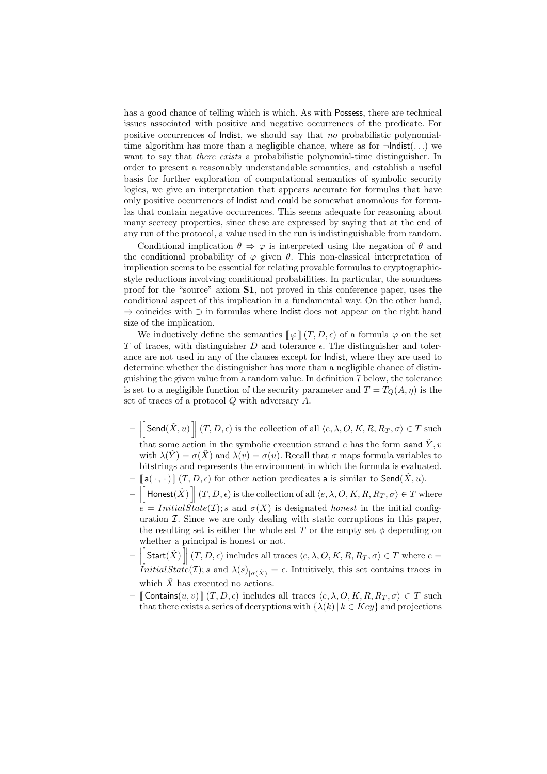has a good chance of telling which is which. As with Possess, there are technical issues associated with positive and negative occurrences of the predicate. For positive occurrences of Indist, we should say that no probabilistic polynomialtime algorithm has more than a negligible chance, where as for  $\neg$ Indist(...) we want to say that *there exists* a probabilistic polynomial-time distinguisher. In order to present a reasonably understandable semantics, and establish a useful basis for further exploration of computational semantics of symbolic security logics, we give an interpretation that appears accurate for formulas that have only positive occurrences of Indist and could be somewhat anomalous for formulas that contain negative occurrences. This seems adequate for reasoning about many secrecy properties, since these are expressed by saying that at the end of any run of the protocol, a value used in the run is indistinguishable from random.

Conditional implication  $\theta \Rightarrow \varphi$  is interpreted using the negation of  $\theta$  and the conditional probability of  $\varphi$  given  $\theta$ . This non-classical interpretation of implication seems to be essential for relating provable formulas to cryptographicstyle reductions involving conditional probabilities. In particular, the soundness proof for the "source" axiom S1, not proved in this conference paper, uses the conditional aspect of this implication in a fundamental way. On the other hand, ⇒ coincides with ⊃ in formulas where Indist does not appear on the right hand size of the implication.

We inductively define the semantics  $\lbrack \varphi \rbrack (T, D, \epsilon)$  of a formula  $\varphi$  on the set T of traces, with distinguisher D and tolerance  $\epsilon$ . The distinguisher and tolerance are not used in any of the clauses except for Indist, where they are used to determine whether the distinguisher has more than a negligible chance of distinguishing the given value from a random value. In definition 7 below, the tolerance is set to a negligible function of the security parameter and  $T = T<sub>O</sub>(A, \eta)$  is the set of traces of a protocol Q with adversary A.

- $\begin{array}{c} \begin{array}{c} \begin{array}{c} \end{array} \\ \begin{array}{c} \end{array} \end{array} \end{array}$ h  $\operatorname{\mathsf{Send}}(\tilde{X},u)$  $\left\| (T, D, \epsilon) \right\|$  is the collection of all  $\langle e, \lambda, O, K, R, R_T, \sigma \rangle \in T$  such that some action in the symbolic execution strand e has the form send  $\tilde{Y}, v$ with  $\lambda(Y) = \sigma(X)$  and  $\lambda(v) = \sigma(u)$ . Recall that  $\sigma$  maps formula variables to bitstrings and represents the environment in which the formula is evaluated.
- $[ [a(\cdot, \cdot) ] ] (T, D, \epsilon)$  for other action predicates a is similar to  $\mathsf{Send}(\tilde{X}, u)$ .
- $\quad \left\| \big[\textsf{Honest}(\hat{X}) \big] \right\| (T, D, \epsilon) \text{ is the collection of all } \langle e, \lambda, O, K, R, R_T, \sigma \rangle \in T \text{ where } \epsilon > 0 \text{ and } \epsilon > 0 \text{ for all } \epsilon > 0 \text{ for all } \epsilon > 0 \text{ for all } \epsilon > 0 \text{ for all } \epsilon > 0 \text{ for all } \epsilon > 0 \text{ for all } \epsilon > 0 \text{ for all } \epsilon > 0 \text{ for all } \epsilon > 0 \text{ for all } \epsilon > 0 \text{ for all } \epsilon > 0 \text{ for all } \epsilon > 0 \text{ for all } \epsilon > 0$  $e = InitialState(\mathcal{I}); s$  and  $\sigma(X)$  is designated *honest* in the initial configuration  $I$ . Since we are only dealing with static corruptions in this paper, the resulting set is either the whole set T or the empty set  $\phi$  depending on whether a principal is honest or not.
- $-\left\| \mathsf{Start}(\tilde{X}) \right\|$   $(T, D, \epsilon)$  includes all traces  $\langle e, \lambda, O, K, R, R_T, \sigma \rangle \in T$  where  $e =$ *InitialState*(*I*); s and  $\lambda(s)_{\vert \sigma(\tilde{X})} = \epsilon$ . Intuitively, this set contains traces in which  $\tilde{X}$  has executed no actions.
- $-$  [Contains(u, v)] (T, D, ε) includes all traces  $\langle e, \lambda, O, K, R, R_T, \sigma \rangle$  ∈ T such that there exists a series of decryptions with  $\{\lambda(k) | k \in Key\}$  and projections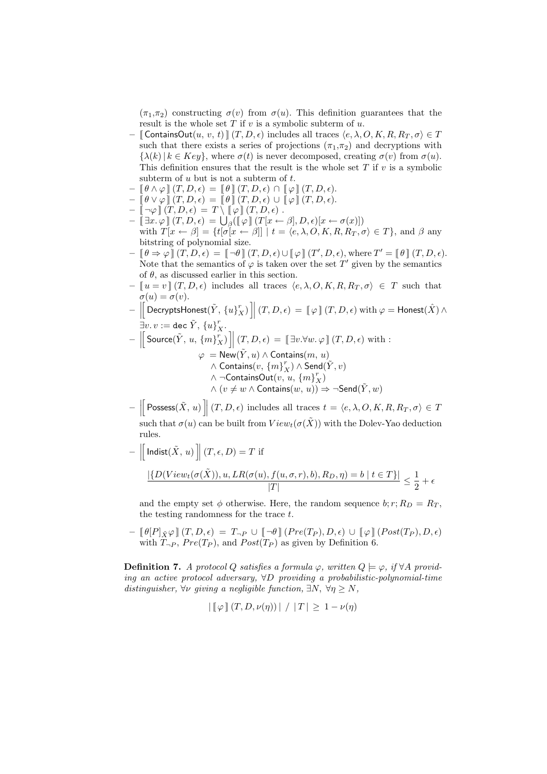$(\pi_1,\pi_2)$  constructing  $\sigma(v)$  from  $\sigma(u)$ . This definition guarantees that the result is the whole set  $T$  if  $v$  is a symbolic subterm of  $u$ .

- $\Box$  ContainsOut $(u, v, t)$   $\Vert$   $(T, D, \epsilon)$  includes all traces  $\langle e, \lambda, O, K, R, R_T, \sigma \rangle \in T$ such that there exists a series of projections  $(\pi_1, \pi_2)$  and decryptions with  ${\lambda(k) | k \in Key}$ , where  $\sigma(t)$  is never decomposed, creating  $\sigma(v)$  from  $\sigma(u)$ . This definition ensures that the result is the whole set  $T$  if  $v$  is a symbolic subterm of  $u$  but is not a subterm of  $t$ .
- $\left[\theta \wedge \varphi\right]$   $(T, D, \epsilon)$  =  $\left[\theta\right]$   $(T, D, \epsilon)$   $\cap$   $\left[\varphi\right]$   $(T, D, \epsilon)$ .
- $-\parallel \theta \vee \varphi \parallel (T, D, \epsilon) = \parallel \theta \parallel (T, D, \epsilon) \cup \parallel \varphi \parallel (T, D, \epsilon).$
- $-\stackrel{\scriptscriptstyle\parallel}{\parallel}\neg\varphi\stackrel{\scriptscriptstyle\parallel}{\parallel}(\stackrel{\scriptscriptstyle\parallel}{T},\stackrel{\scriptscriptstyle\bullet}{D},\epsilon)=T\stackrel{\scriptscriptstyle\parallel}{\setminus}\,\,\lbrack\stackrel{\scriptscriptstyle\bullet}{\parallel}\varphi\stackrel{\scriptscriptstyle\parallel}{\parallel}(T,D,\epsilon)\,\,.$
- $\begin{array}{l} \mathcal{L} = \mathbb{I}\setminus\mathbb{I}\setminus\mathcal{D}, \epsilon) = \mathcal{L}\setminus\mathbb{I}\setminus\mathcal{D}, \epsilon \in \mathcal{D}\ = \mathbb{I}\setminus\mathbb{I}\setminus\mathcal{D}, \epsilon \in \mathcal{D}\left[\mathcal{D}\right]\left(\mathcal{D}\right]\left(\mathcal{D}\right]\left(\mathcal{D}\right)\left(\mathcal{D}\right)\left(\mathcal{D}\right)\left(\mathcal{D}\right)\left(\mathcal{D}\right)\left(\mathcal{D}\right)\left(\mathcal{D}\right) = \mathcal{D}\left(\mathcal{D}\right)\left(\mathcal{D}\right)\$ with  $T[x \leftarrow \beta] = \{t[\sigma[x \leftarrow \beta]] \mid t = \langle e, \lambda, O, K, R, R_T, \sigma \rangle \in T\}$ , and  $\beta$  any bitstring of polynomial size.
- $-\Vert \theta \Rightarrow \varphi \Vert (T, D, \epsilon) = \Vert \neg \theta \Vert (T, D, \epsilon) \cup \Vert \varphi \Vert (T', D, \epsilon),$  where  $T' = \Vert \theta \Vert (T, D, \epsilon).$ Note that the semantics of  $\varphi$  is taken over the set T' given by the semantics of  $\theta$ , as discussed earlier in this section.
- $[u = v](T, D, \epsilon)$  includes all traces  $\langle e, \lambda, O, K, R, R_T, \sigma \rangle \in T$  such that  $\sigma(u) = \sigma(v).$
- $\big\|$  DecryptsHonest $(\tilde{Y}, \{u\}^r_X)$  $\left\| (T, D, \epsilon) \right\| = \left\| \varphi \right\| (T, D, \epsilon) \text{ with } \varphi = \mathsf{Honest}(\hat{X}) \wedge$  $\exists v.\, v := \mathtt{dec}\, \tilde{Y}, \, \{u\}^r_X.$ ⊐'<br>i
- ¯ ¯ ¯ Source $(\tilde{Y}, u, \{m\}_{X}^r)$  $\left\| (T, D, \epsilon) \right\| = \left\| \exists v. \forall w. \varphi \right\| (T, D, \epsilon) \text{ with : }$ 
	- $\varphi = \mathsf{New}(\tilde{Y}, u) \wedge \mathsf{contains}(m, u)$  $\wedge$  Contains $(v,\,\{m\}^r_X)\wedge \mathsf{Send}(\tilde{Y},v)$  $\wedge \neg$ ContainsOut $(v, u, \{m\}_{X}^{r})$  $\wedge$   $(v \neq w \wedge$  Contains $(w, u)) \Rightarrow \neg$ Send $(\tilde{Y}, w)$
- $\begin{array}{c} \begin{array}{c} \begin{array}{c} \end{array} \\ \begin{array}{c} \end{array} \end{array} \end{array}$ h Possess $(\tilde{X}, u)$  $\left\| (T, D, \epsilon) \right\|$  includes all traces  $t = \langle e, \lambda, O, K, R, R_T, \sigma \rangle \in T$ such that  $\sigma(u)$  can be built from  $View_t(\sigma(\tilde{X}))$  with the Dolev-Yao deduction rules. h
- ¯ ¯ ¯ Indist $(\tilde{X}, u)$  $\left\| (T, \epsilon, D) = T \right\|$

$$
\frac{|\{D(View_t(\sigma(\tilde{X})),u,LR(\sigma(u),f(u,\sigma,r),b),R_D,\eta)=b\mid t\in T\}|}{|T|}\leq \frac{1}{2}+\epsilon
$$

and the empty set  $\phi$  otherwise. Here, the random sequence  $b; r; R_D = R_T$ , the testing randomness for the trace t.

 $-\left[\left[\theta[P]_{\tilde{X}}\varphi\right]\right](T,D,\epsilon) = T_{\neg P} \cup \left[\left[\left(\neg \theta\right]\right](Pre(T_P),D,\epsilon) \cup \left[\left[\varphi\right]\right](Post(T_P),D,\epsilon)\right]$ with  $T_{\neg P}$ ,  $Pre(T_P)$ , and  $Post(T_P)$  as given by Definition 6.

**Definition 7.** A protocol Q satisfies a formula  $\varphi$ , written  $Q \models \varphi$ , if  $\forall A$  providing an active protocol adversary, ∀D providing a probabilistic-polynomial-time distinguisher,  $\forall \nu$  giving a negligible function,  $\exists N, \forall \eta > N$ ,

$$
\left| \left[ \varphi \right] \left( T,D,\nu (\eta )\right) \right| / \left| T\right| \geq 1-\nu (\eta )
$$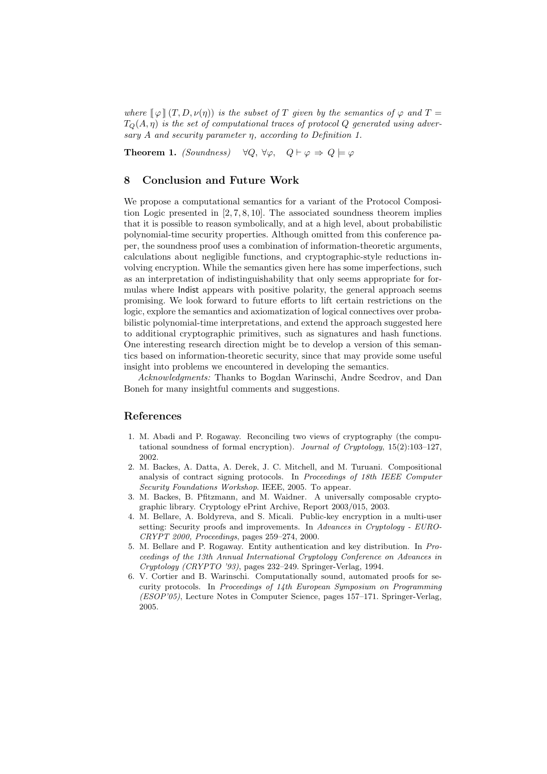where  $\left[\varphi\right](T, D, \nu(\eta))$  is the subset of T given by the semantics of  $\varphi$  and  $T =$  $T_{\mathcal{O}}(A, \eta)$  is the set of computational traces of protocol Q generated using adversary  $A$  and security parameter  $\eta$ , according to Definition 1.

**Theorem 1.** (Soundness)  $\forall Q, \forall \varphi, Q \vdash \varphi \Rightarrow Q \models \varphi$ 

# 8 Conclusion and Future Work

We propose a computational semantics for a variant of the Protocol Composition Logic presented in  $[2, 7, 8, 10]$ . The associated soundness theorem implies that it is possible to reason symbolically, and at a high level, about probabilistic polynomial-time security properties. Although omitted from this conference paper, the soundness proof uses a combination of information-theoretic arguments, calculations about negligible functions, and cryptographic-style reductions involving encryption. While the semantics given here has some imperfections, such as an interpretation of indistinguishability that only seems appropriate for formulas where Indist appears with positive polarity, the general approach seems promising. We look forward to future efforts to lift certain restrictions on the logic, explore the semantics and axiomatization of logical connectives over probabilistic polynomial-time interpretations, and extend the approach suggested here to additional cryptographic primitives, such as signatures and hash functions. One interesting research direction might be to develop a version of this semantics based on information-theoretic security, since that may provide some useful insight into problems we encountered in developing the semantics.

Acknowledgments: Thanks to Bogdan Warinschi, Andre Scedrov, and Dan Boneh for many insightful comments and suggestions.

# References

- 1. M. Abadi and P. Rogaway. Reconciling two views of cryptography (the computational soundness of formal encryption). Journal of Cryptology, 15(2):103–127, 2002.
- 2. M. Backes, A. Datta, A. Derek, J. C. Mitchell, and M. Turuani. Compositional analysis of contract signing protocols. In Proceedings of 18th IEEE Computer Security Foundations Workshop. IEEE, 2005. To appear.
- 3. M. Backes, B. Pfitzmann, and M. Waidner. A universally composable cryptographic library. Cryptology ePrint Archive, Report 2003/015, 2003.
- 4. M. Bellare, A. Boldyreva, and S. Micali. Public-key encryption in a multi-user setting: Security proofs and improvements. In Advances in Cryptology - EURO-CRYPT 2000, Proceedings, pages 259–274, 2000.
- 5. M. Bellare and P. Rogaway. Entity authentication and key distribution. In Proceedings of the 13th Annual International Cryptology Conference on Advances in Cryptology (CRYPTO '93), pages 232–249. Springer-Verlag, 1994.
- 6. V. Cortier and B. Warinschi. Computationally sound, automated proofs for security protocols. In Proceedings of 14th European Symposium on Programming (ESOP'05), Lecture Notes in Computer Science, pages 157–171. Springer-Verlag, 2005.